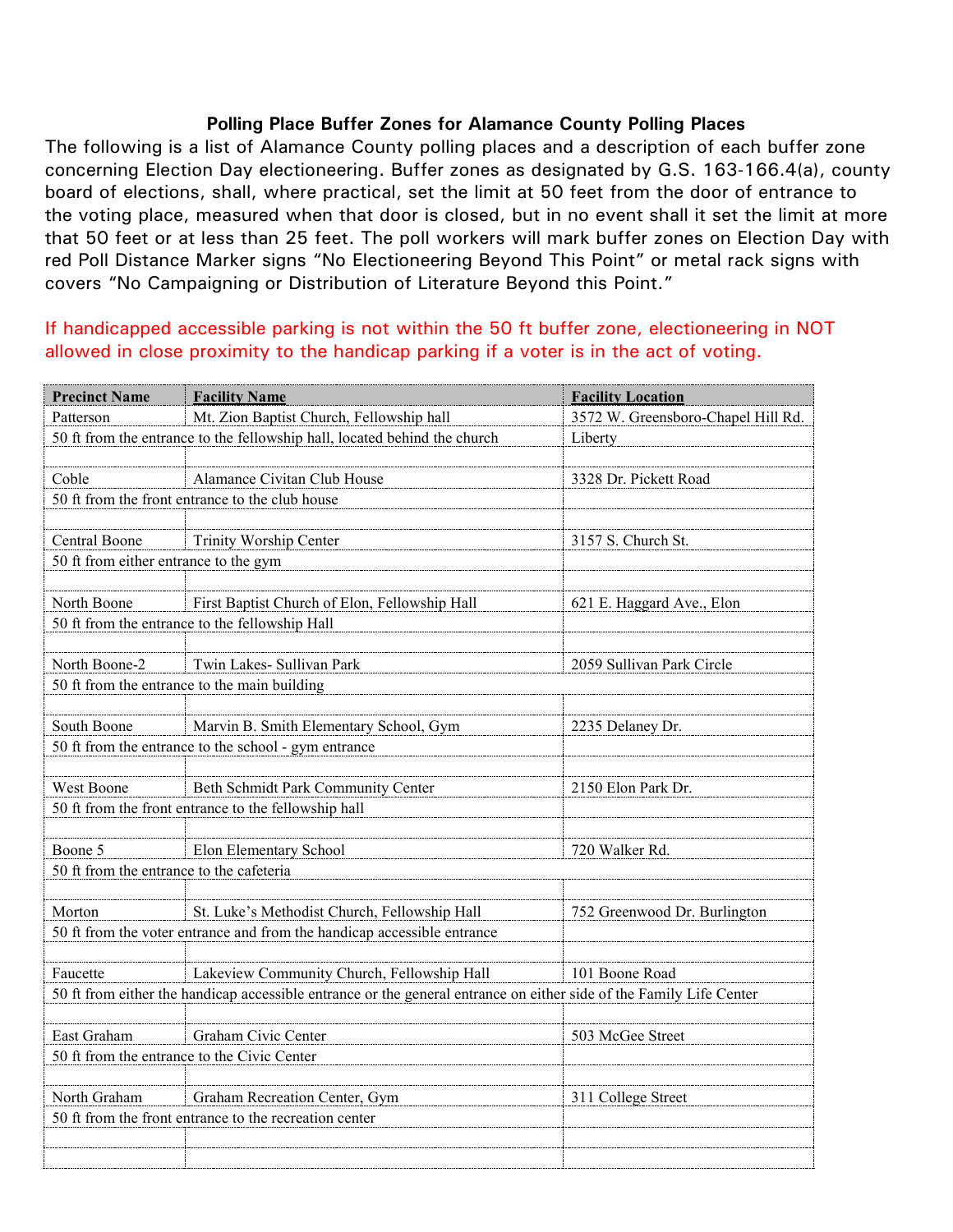## **Polling Place Buffer Zones for Alamance County Polling Places**

The following is a list of Alamance County polling places and a description of each buffer zone concerning Election Day electioneering. Buffer zones as designated by G.S. 163-166.4(a), county board of elections, shall, where practical, set the limit at 50 feet from the door of entrance to the voting place, measured when that door is closed, but in no event shall it set the limit at more that 50 feet or at less than 25 feet. The poll workers will mark buffer zones on Election Day with red Poll Distance Marker signs "No Electioneering Beyond This Point" or metal rack signs with covers "No Campaigning or Distribution of Literature Beyond this Point."

## If handicapped accessible parking is not within the 50 ft buffer zone, electioneering in NOT allowed in close proximity to the handicap parking if a voter is in the act of voting.

| <b>Precinct Name</b>                                                                                                | <b>Facility Name</b>                                                    | <b>Facility Location</b>           |  |  |
|---------------------------------------------------------------------------------------------------------------------|-------------------------------------------------------------------------|------------------------------------|--|--|
| Patterson                                                                                                           | Mt. Zion Baptist Church, Fellowship hall                                | 3572 W. Greensboro-Chapel Hill Rd. |  |  |
| 50 ft from the entrance to the fellowship hall, located behind the church                                           |                                                                         | Liberty                            |  |  |
|                                                                                                                     |                                                                         |                                    |  |  |
| Coble                                                                                                               | Alamance Civitan Club House                                             | 3328 Dr. Pickett Road              |  |  |
|                                                                                                                     | 50 ft from the front entrance to the club house                         |                                    |  |  |
|                                                                                                                     |                                                                         |                                    |  |  |
| Central Boone                                                                                                       | Trinity Worship Center                                                  | 3157 S. Church St.                 |  |  |
| 50 ft from either entrance to the gym                                                                               |                                                                         |                                    |  |  |
|                                                                                                                     |                                                                         |                                    |  |  |
| North Boone                                                                                                         | First Baptist Church of Elon, Fellowship Hall                           | 621 E. Haggard Ave., Elon          |  |  |
|                                                                                                                     | 50 ft from the entrance to the fellowship Hall                          |                                    |  |  |
|                                                                                                                     |                                                                         |                                    |  |  |
| North Boone-2                                                                                                       | Twin Lakes- Sullivan Park                                               | 2059 Sullivan Park Circle          |  |  |
|                                                                                                                     | 50 ft from the entrance to the main building                            |                                    |  |  |
|                                                                                                                     |                                                                         |                                    |  |  |
| South Boone                                                                                                         | Marvin B. Smith Elementary School, Gym                                  | 2235 Delaney Dr.                   |  |  |
|                                                                                                                     | 50 ft from the entrance to the school - gym entrance                    |                                    |  |  |
| West Boone                                                                                                          | Beth Schmidt Park Community Center                                      | 2150 Elon Park Dr.                 |  |  |
|                                                                                                                     | 50 ft from the front entrance to the fellowship hall                    |                                    |  |  |
|                                                                                                                     |                                                                         |                                    |  |  |
| Boone 5                                                                                                             | Elon Elementary School                                                  | 720 Walker Rd.                     |  |  |
| 50 ft from the entrance to the cafeteria                                                                            |                                                                         |                                    |  |  |
|                                                                                                                     |                                                                         |                                    |  |  |
| Morton                                                                                                              | St. Luke's Methodist Church, Fellowship Hall                            | 752 Greenwood Dr. Burlington       |  |  |
|                                                                                                                     | 50 ft from the voter entrance and from the handicap accessible entrance |                                    |  |  |
|                                                                                                                     |                                                                         |                                    |  |  |
| Faucette                                                                                                            | Lakeview Community Church, Fellowship Hall                              | 101 Boone Road                     |  |  |
| 50 ft from either the handicap accessible entrance or the general entrance on either side of the Family Life Center |                                                                         |                                    |  |  |
|                                                                                                                     |                                                                         |                                    |  |  |
| East Graham                                                                                                         | Graham Civic Center                                                     | 503 McGee Street                   |  |  |
|                                                                                                                     | 50 ft from the entrance to the Civic Center                             |                                    |  |  |
|                                                                                                                     |                                                                         |                                    |  |  |
| North Graham                                                                                                        | Graham Recreation Center, Gym                                           | 311 College Street                 |  |  |
| 50 ft from the front entrance to the recreation center                                                              |                                                                         |                                    |  |  |
|                                                                                                                     |                                                                         |                                    |  |  |
|                                                                                                                     |                                                                         |                                    |  |  |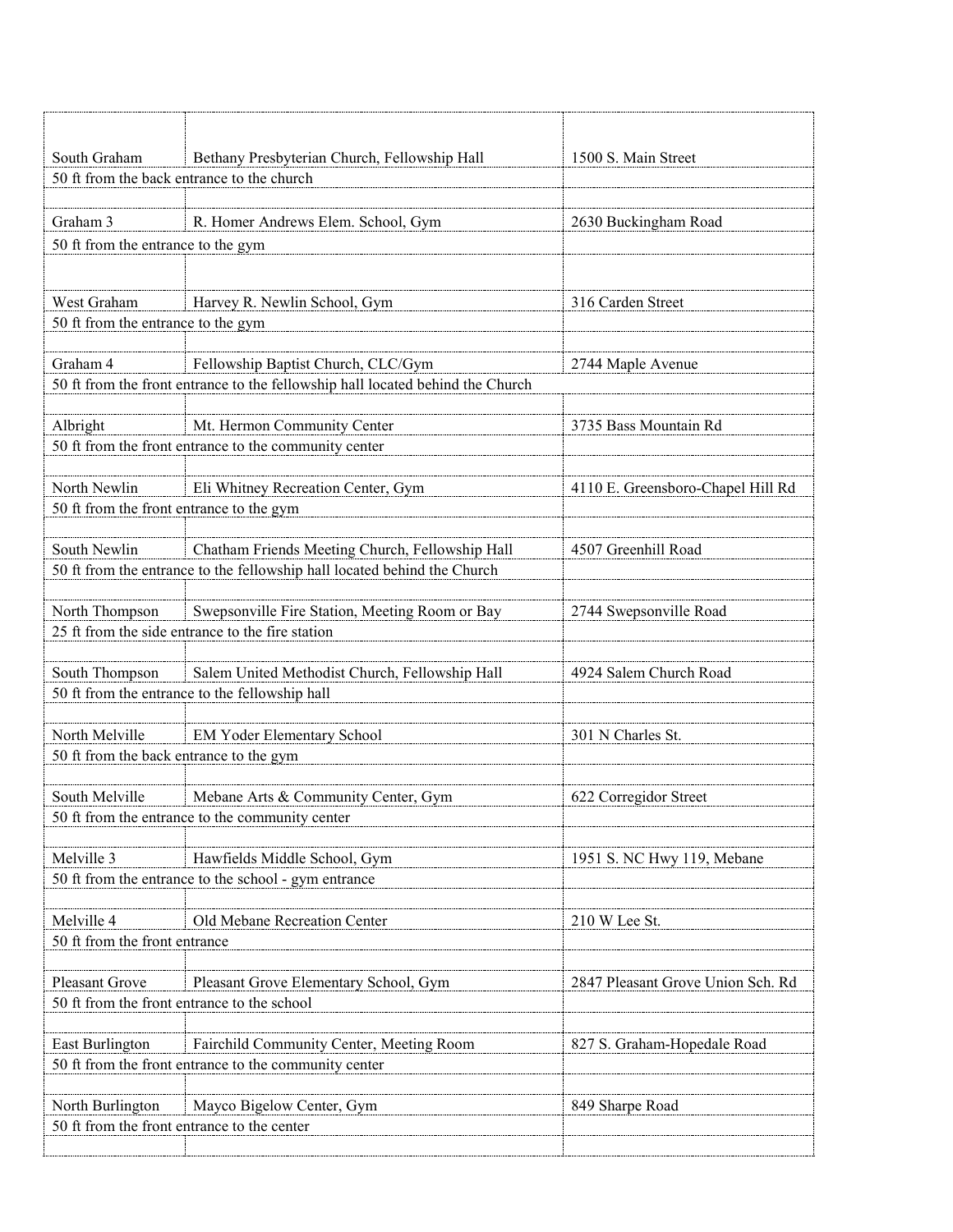| South Graham                                          | Bethany Presbyterian Church, Fellowship Hall                                   | 1500 S. Main Street               |  |  |
|-------------------------------------------------------|--------------------------------------------------------------------------------|-----------------------------------|--|--|
|                                                       | 50 ft from the back entrance to the church                                     |                                   |  |  |
|                                                       |                                                                                |                                   |  |  |
| Graham 3                                              | R. Homer Andrews Elem. School, Gym                                             | 2630 Buckingham Road              |  |  |
| 50 ft from the entrance to the gym                    |                                                                                |                                   |  |  |
|                                                       |                                                                                |                                   |  |  |
| West Graham                                           | Harvey R. Newlin School, Gym                                                   | 316 Carden Street                 |  |  |
| 50 ft from the entrance to the gym                    |                                                                                |                                   |  |  |
|                                                       |                                                                                |                                   |  |  |
| Graham 4                                              | Fellowship Baptist Church, CLC/Gym                                             | 2744 Maple Avenue                 |  |  |
|                                                       | 50 ft from the front entrance to the fellowship hall located behind the Church |                                   |  |  |
|                                                       |                                                                                |                                   |  |  |
| Albright                                              | Mt. Hermon Community Center                                                    | 3735 Bass Mountain Rd             |  |  |
|                                                       | 50 ft from the front entrance to the community center                          |                                   |  |  |
|                                                       |                                                                                |                                   |  |  |
| North Newlin                                          | Eli Whitney Recreation Center, Gym                                             | 4110 E. Greensboro-Chapel Hill Rd |  |  |
| 50 ft from the front entrance to the gym              |                                                                                |                                   |  |  |
| South Newlin                                          | Chatham Friends Meeting Church, Fellowship Hall                                | 4507 Greenhill Road               |  |  |
|                                                       | 50 ft from the entrance to the fellowship hall located behind the Church       |                                   |  |  |
|                                                       |                                                                                |                                   |  |  |
| North Thompson                                        | Swepsonville Fire Station, Meeting Room or Bay                                 | 2744 Swepsonville Road            |  |  |
|                                                       | 25 ft from the side entrance to the fire station                               |                                   |  |  |
|                                                       |                                                                                |                                   |  |  |
| South Thompson                                        | Salem United Methodist Church, Fellowship Hall                                 | 4924 Salem Church Road            |  |  |
|                                                       | 50 ft from the entrance to the fellowship hall                                 |                                   |  |  |
|                                                       |                                                                                |                                   |  |  |
| North Melville                                        | EM Yoder Elementary School                                                     | 301 N Charles St.                 |  |  |
| 50 ft from the back entrance to the gym               |                                                                                |                                   |  |  |
|                                                       |                                                                                |                                   |  |  |
| South Melville                                        | Mebane Arts & Community Center, Gym                                            | 622 Corregidor Street             |  |  |
| 50 ft from the entrance to the community center       |                                                                                |                                   |  |  |
| Melville 3                                            | Hawfields Middle School, Gym                                                   | 1951 S. NC Hwy 119, Mebane        |  |  |
|                                                       | 50 ft from the entrance to the school - gym entrance                           |                                   |  |  |
|                                                       |                                                                                |                                   |  |  |
| Melville 4                                            | Old Mebane Recreation Center                                                   | 210 W Lee St.                     |  |  |
| 50 ft from the front entrance                         |                                                                                |                                   |  |  |
|                                                       |                                                                                |                                   |  |  |
| <b>Pleasant Grove</b>                                 | Pleasant Grove Elementary School, Gym                                          | 2847 Pleasant Grove Union Sch. Rd |  |  |
|                                                       | 50 ft from the front entrance to the school                                    |                                   |  |  |
|                                                       |                                                                                |                                   |  |  |
| East Burlington                                       | Fairchild Community Center, Meeting Room                                       | 827 S. Graham-Hopedale Road       |  |  |
| 50 ft from the front entrance to the community center |                                                                                |                                   |  |  |
|                                                       |                                                                                |                                   |  |  |
| North Burlington                                      | Mayco Bigelow Center, Gym                                                      | 849 Sharpe Road                   |  |  |
| 50 ft from the front entrance to the center           |                                                                                |                                   |  |  |
|                                                       |                                                                                |                                   |  |  |